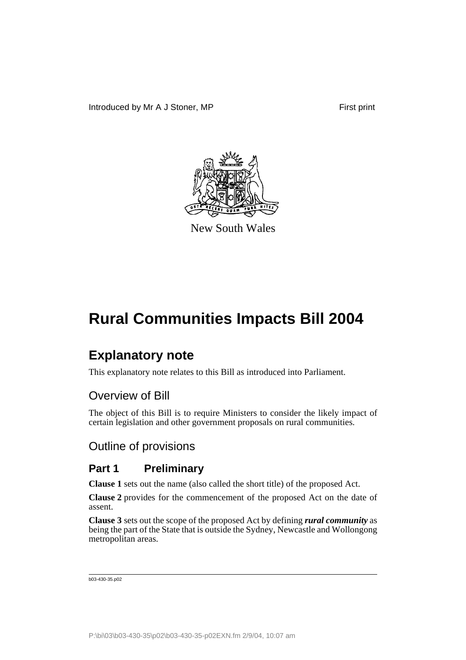

New South Wales

# **Explanatory note**

This explanatory note relates to this Bill as introduced into Parliament.

## Overview of Bill

The object of this Bill is to require Ministers to consider the likely impact of certain legislation and other government proposals on rural communities.

## Outline of provisions

## **Part 1 Preliminary**

**Clause 1** sets out the name (also called the short title) of the proposed Act.

**Clause 2** provides for the commencement of the proposed Act on the date of assent.

**Clause 3** sets out the scope of the proposed Act by defining *rural community* as being the part of the State that is outside the Sydney, Newcastle and Wollongong metropolitan areas.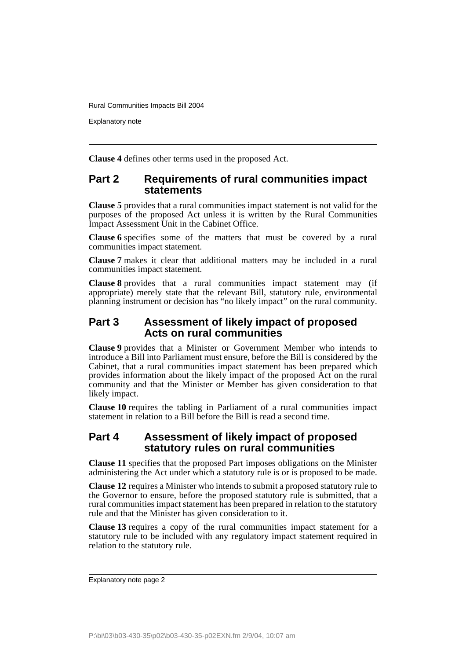Explanatory note

**Clause 4** defines other terms used in the proposed Act.

### **Part 2 Requirements of rural communities impact statements**

**Clause 5** provides that a rural communities impact statement is not valid for the purposes of the proposed Act unless it is written by the Rural Communities Impact Assessment Unit in the Cabinet Office.

**Clause 6** specifies some of the matters that must be covered by a rural communities impact statement.

**Clause 7** makes it clear that additional matters may be included in a rural communities impact statement.

**Clause 8** provides that a rural communities impact statement may (if appropriate) merely state that the relevant Bill, statutory rule, environmental planning instrument or decision has "no likely impact" on the rural community.

## **Part 3 Assessment of likely impact of proposed Acts on rural communities**

**Clause 9** provides that a Minister or Government Member who intends to introduce a Bill into Parliament must ensure, before the Bill is considered by the Cabinet, that a rural communities impact statement has been prepared which provides information about the likely impact of the proposed Act on the rural community and that the Minister or Member has given consideration to that likely impact.

**Clause 10** requires the tabling in Parliament of a rural communities impact statement in relation to a Bill before the Bill is read a second time.

## **Part 4 Assessment of likely impact of proposed statutory rules on rural communities**

**Clause 11** specifies that the proposed Part imposes obligations on the Minister administering the Act under which a statutory rule is or is proposed to be made.

**Clause 12** requires a Minister who intends to submit a proposed statutory rule to the Governor to ensure, before the proposed statutory rule is submitted, that a rural communities impact statement has been prepared in relation to the statutory rule and that the Minister has given consideration to it.

**Clause 13** requires a copy of the rural communities impact statement for a statutory rule to be included with any regulatory impact statement required in relation to the statutory rule.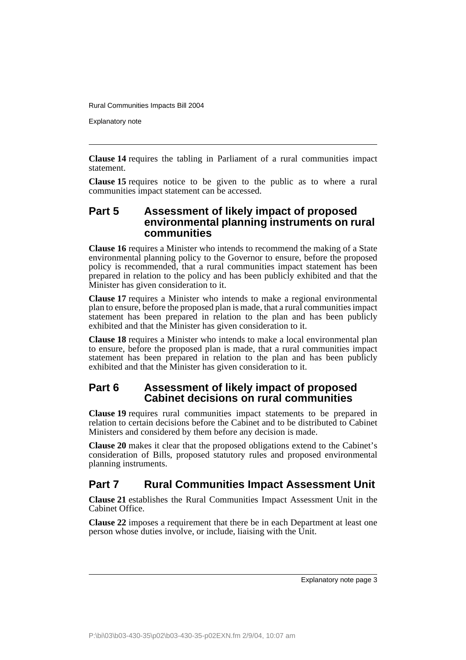Explanatory note

**Clause 14** requires the tabling in Parliament of a rural communities impact statement.

**Clause 15** requires notice to be given to the public as to where a rural communities impact statement can be accessed.

## **Part 5 Assessment of likely impact of proposed environmental planning instruments on rural communities**

**Clause 16** requires a Minister who intends to recommend the making of a State environmental planning policy to the Governor to ensure, before the proposed policy is recommended, that a rural communities impact statement has been prepared in relation to the policy and has been publicly exhibited and that the Minister has given consideration to it.

**Clause 17** requires a Minister who intends to make a regional environmental plan to ensure, before the proposed plan is made, that a rural communities impact statement has been prepared in relation to the plan and has been publicly exhibited and that the Minister has given consideration to it.

**Clause 18** requires a Minister who intends to make a local environmental plan to ensure, before the proposed plan is made, that a rural communities impact statement has been prepared in relation to the plan and has been publicly exhibited and that the Minister has given consideration to it.

## **Part 6 Assessment of likely impact of proposed Cabinet decisions on rural communities**

**Clause 19** requires rural communities impact statements to be prepared in relation to certain decisions before the Cabinet and to be distributed to Cabinet Ministers and considered by them before any decision is made.

**Clause 20** makes it clear that the proposed obligations extend to the Cabinet's consideration of Bills, proposed statutory rules and proposed environmental planning instruments.

## **Part 7 Rural Communities Impact Assessment Unit**

**Clause 21** establishes the Rural Communities Impact Assessment Unit in the Cabinet Office.

**Clause 22** imposes a requirement that there be in each Department at least one person whose duties involve, or include, liaising with the Unit.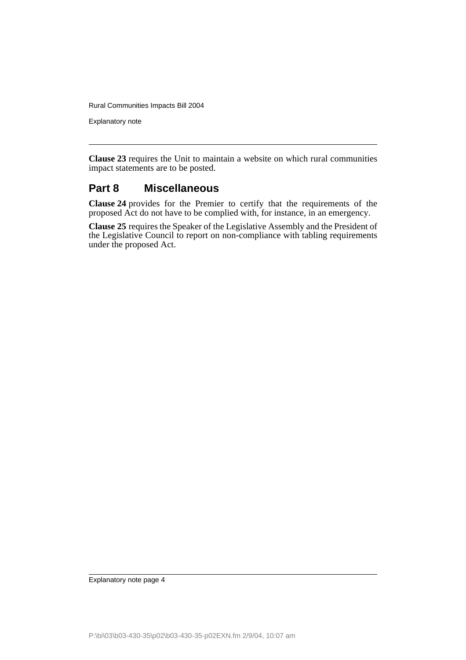Explanatory note

**Clause 23** requires the Unit to maintain a website on which rural communities impact statements are to be posted.

## **Part 8 Miscellaneous**

**Clause 24** provides for the Premier to certify that the requirements of the proposed Act do not have to be complied with, for instance, in an emergency.

**Clause 25** requires the Speaker of the Legislative Assembly and the President of the Legislative Council to report on non-compliance with tabling requirements under the proposed Act.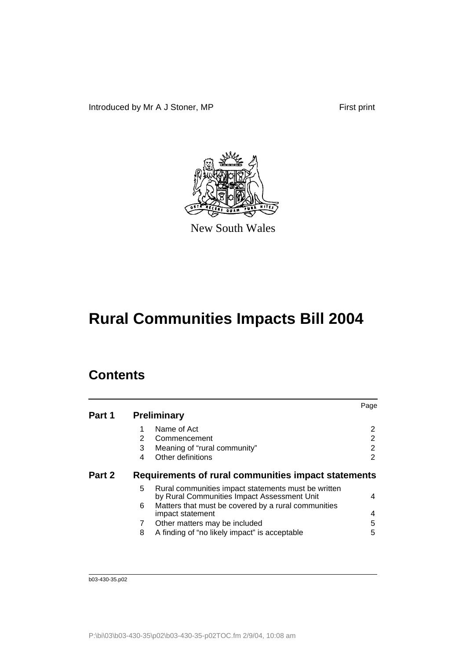Introduced by Mr A J Stoner, MP First print



New South Wales

# **Rural Communities Impacts Bill 2004**

# **Contents**

|        |                    |                                                                                                    | Page           |
|--------|--------------------|----------------------------------------------------------------------------------------------------|----------------|
| Part 1 | <b>Preliminary</b> |                                                                                                    |                |
|        |                    | Name of Act                                                                                        | 2              |
|        | 2                  | Commencement                                                                                       | 2              |
|        | 3                  | Meaning of "rural community"                                                                       | $\overline{2}$ |
|        | 4                  | Other definitions                                                                                  | 2              |
| Part 2 |                    | Requirements of rural communities impact statements                                                |                |
|        | 5                  | Rural communities impact statements must be written<br>by Rural Communities Impact Assessment Unit | 4              |
|        | 6                  | Matters that must be covered by a rural communities<br>impact statement                            | 4              |
|        | 7                  | Other matters may be included                                                                      | 5              |
|        | 8                  | A finding of "no likely impact" is acceptable                                                      | 5              |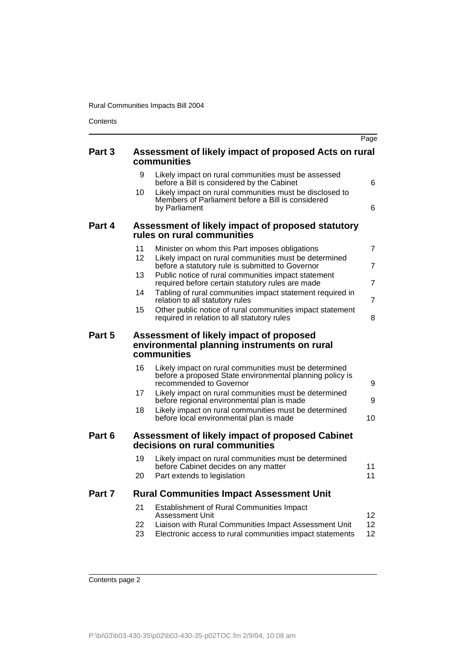**Contents** 

|        |                                                                                                                                                    | Page           |
|--------|----------------------------------------------------------------------------------------------------------------------------------------------------|----------------|
| Part 3 | Assessment of likely impact of proposed Acts on rural<br>communities                                                                               |                |
|        | 9<br>Likely impact on rural communities must be assessed<br>before a Bill is considered by the Cabinet                                             | 6              |
|        | Likely impact on rural communities must be disclosed to<br>10<br>Members of Parliament before a Bill is considered<br>by Parliament                | 6              |
| Part 4 | Assessment of likely impact of proposed statutory<br>rules on rural communities                                                                    |                |
|        | 11<br>Minister on whom this Part imposes obligations                                                                                               | $\overline{7}$ |
|        | 12 <sub>2</sub><br>Likely impact on rural communities must be determined<br>before a statutory rule is submitted to Governor                       | $\overline{7}$ |
|        | 13<br>Public notice of rural communities impact statement<br>required before certain statutory rules are made                                      | $\overline{7}$ |
|        | Tabling of rural communities impact statement required in<br>14<br>relation to all statutory rules                                                 | $\overline{7}$ |
|        | 15<br>Other public notice of rural communities impact statement<br>required in relation to all statutory rules                                     | 8              |
| Part 5 | Assessment of likely impact of proposed<br>environmental planning instruments on rural<br>communities                                              |                |
|        | 16<br>Likely impact on rural communities must be determined<br>before a proposed State environmental planning policy is<br>recommended to Governor |                |
|        | Likely impact on rural communities must be determined<br>17                                                                                        | 9              |
|        | before regional environmental plan is made                                                                                                         | 9              |
|        | 18<br>Likely impact on rural communities must be determined<br>before local environmental plan is made                                             | 10             |
| Part 6 | Assessment of likely impact of proposed Cabinet<br>decisions on rural communities                                                                  |                |
|        | Likely impact on rural communities must be determined<br>19<br>before Cabinet decides on any matter                                                | 11             |
|        | 20<br>Part extends to legislation                                                                                                                  | 11             |
| Part 7 | <b>Rural Communities Impact Assessment Unit</b>                                                                                                    |                |
|        | 21<br><b>Establishment of Rural Communities Impact</b><br>Assessment Unit                                                                          | 12             |
|        | Liaison with Rural Communities Impact Assessment Unit<br>22<br>Electronic access to rural communities impact statements<br>23                      | 12<br>12       |
|        |                                                                                                                                                    |                |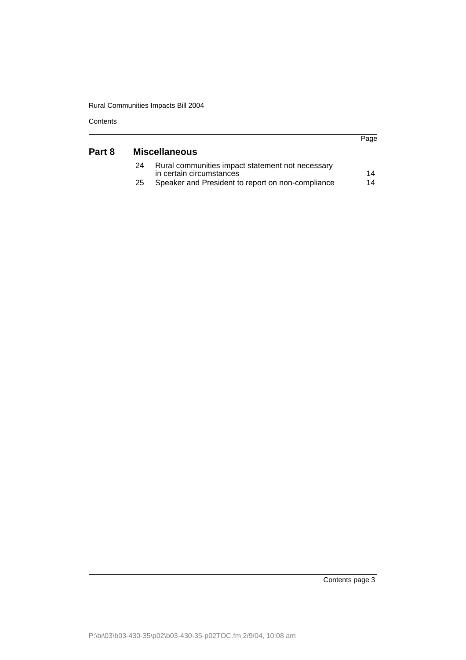**Contents** 

|        |    |                                                                              | Page |
|--------|----|------------------------------------------------------------------------------|------|
| Part 8 |    | <b>Miscellaneous</b>                                                         |      |
|        | 24 | Rural communities impact statement not necessary<br>in certain circumstances | 14   |
|        | 25 | Speaker and President to report on non-compliance                            | 14   |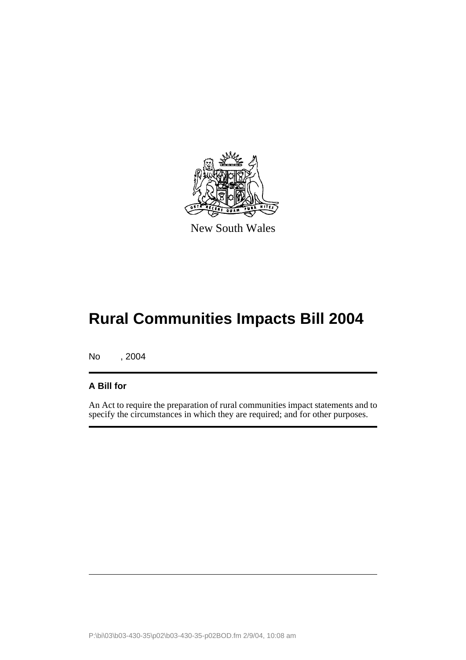

New South Wales

No , 2004

## **A Bill for**

An Act to require the preparation of rural communities impact statements and to specify the circumstances in which they are required; and for other purposes.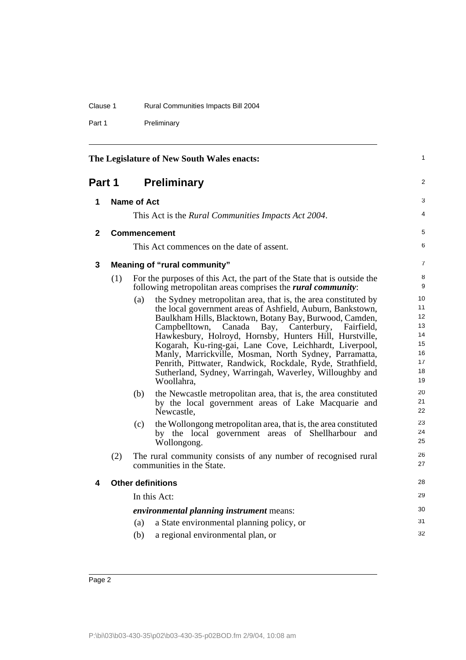| Clause 1 | Rural Communities Impacts Bill 2004 |  |
|----------|-------------------------------------|--|
|          |                                     |  |

Part 1 Preliminary

| The Legislature of New South Wales enacts: |             |                   | 1                                                                                                                                                                                                                                                                                                                                                                                                                                                                                                                                                                                                                                                                                                                                                                                                                                                                                                                                                              |                                                                                                          |
|--------------------------------------------|-------------|-------------------|----------------------------------------------------------------------------------------------------------------------------------------------------------------------------------------------------------------------------------------------------------------------------------------------------------------------------------------------------------------------------------------------------------------------------------------------------------------------------------------------------------------------------------------------------------------------------------------------------------------------------------------------------------------------------------------------------------------------------------------------------------------------------------------------------------------------------------------------------------------------------------------------------------------------------------------------------------------|----------------------------------------------------------------------------------------------------------|
| Part 1                                     |             |                   | <b>Preliminary</b>                                                                                                                                                                                                                                                                                                                                                                                                                                                                                                                                                                                                                                                                                                                                                                                                                                                                                                                                             | 2                                                                                                        |
| 1                                          | Name of Act |                   |                                                                                                                                                                                                                                                                                                                                                                                                                                                                                                                                                                                                                                                                                                                                                                                                                                                                                                                                                                | 3                                                                                                        |
|                                            |             |                   | This Act is the Rural Communities Impacts Act 2004.                                                                                                                                                                                                                                                                                                                                                                                                                                                                                                                                                                                                                                                                                                                                                                                                                                                                                                            | 4                                                                                                        |
| $\mathbf{2}$                               |             |                   | <b>Commencement</b>                                                                                                                                                                                                                                                                                                                                                                                                                                                                                                                                                                                                                                                                                                                                                                                                                                                                                                                                            | 5                                                                                                        |
|                                            |             |                   | This Act commences on the date of assent.                                                                                                                                                                                                                                                                                                                                                                                                                                                                                                                                                                                                                                                                                                                                                                                                                                                                                                                      | 6                                                                                                        |
| 3                                          |             |                   | <b>Meaning of "rural community"</b>                                                                                                                                                                                                                                                                                                                                                                                                                                                                                                                                                                                                                                                                                                                                                                                                                                                                                                                            | $\overline{7}$                                                                                           |
|                                            | (1)         |                   | For the purposes of this Act, the part of the State that is outside the<br>following metropolitan areas comprises the <i>rural community</i> :                                                                                                                                                                                                                                                                                                                                                                                                                                                                                                                                                                                                                                                                                                                                                                                                                 | 8<br>9                                                                                                   |
|                                            | (2)         | (a)<br>(b)<br>(c) | the Sydney metropolitan area, that is, the area constituted by<br>the local government areas of Ashfield, Auburn, Bankstown,<br>Baulkham Hills, Blacktown, Botany Bay, Burwood, Camden,<br>Campbelltown,<br>Canada<br>Bay,<br>Canterbury,<br>Fairfield,<br>Hawkesbury, Holroyd, Hornsby, Hunters Hill, Hurstville,<br>Kogarah, Ku-ring-gai, Lane Cove, Leichhardt, Liverpool,<br>Manly, Marrickville, Mosman, North Sydney, Parramatta,<br>Penrith, Pittwater, Randwick, Rockdale, Ryde, Strathfield,<br>Sutherland, Sydney, Warringah, Waverley, Willoughby and<br>Woollahra,<br>the Newcastle metropolitan area, that is, the area constituted<br>by the local government areas of Lake Macquarie and<br>Newcastle,<br>the Wollongong metropolitan area, that is, the area constituted<br>by the local government areas of Shellharbour<br>and<br>Wollongong.<br>The rural community consists of any number of recognised rural<br>communities in the State. | 10<br>11<br>12<br>13<br>14<br>15<br>16<br>17<br>18<br>19<br>20<br>21<br>22<br>23<br>24<br>25<br>26<br>27 |
| 4                                          |             |                   | <b>Other definitions</b>                                                                                                                                                                                                                                                                                                                                                                                                                                                                                                                                                                                                                                                                                                                                                                                                                                                                                                                                       | 28                                                                                                       |
|                                            |             |                   | In this Act:                                                                                                                                                                                                                                                                                                                                                                                                                                                                                                                                                                                                                                                                                                                                                                                                                                                                                                                                                   | 29                                                                                                       |
|                                            |             |                   | <i>environmental planning instrument means:</i>                                                                                                                                                                                                                                                                                                                                                                                                                                                                                                                                                                                                                                                                                                                                                                                                                                                                                                                | 30                                                                                                       |
|                                            |             | (a)               | a State environmental planning policy, or                                                                                                                                                                                                                                                                                                                                                                                                                                                                                                                                                                                                                                                                                                                                                                                                                                                                                                                      | 31                                                                                                       |
|                                            |             | (b)               | a regional environmental plan, or                                                                                                                                                                                                                                                                                                                                                                                                                                                                                                                                                                                                                                                                                                                                                                                                                                                                                                                              | 32                                                                                                       |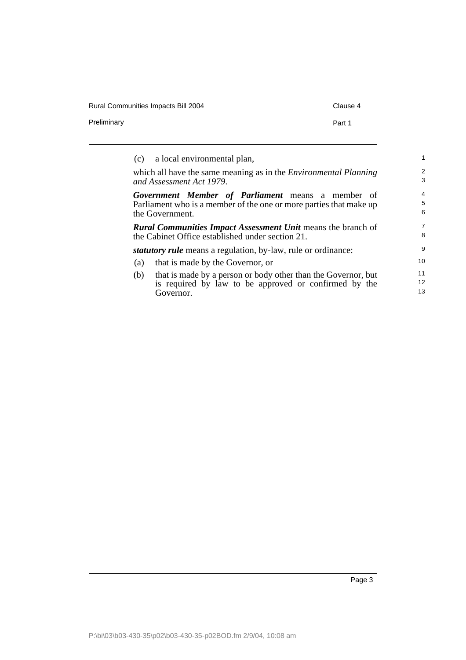| <b>Rural Communities Impacts Bill 2004</b> |        |  |
|--------------------------------------------|--------|--|
| Preliminary                                | Part 1 |  |

| (c) a local environmental plan, |                                                                                                                         |                          |
|---------------------------------|-------------------------------------------------------------------------------------------------------------------------|--------------------------|
| and Assessment Act 1979.        | which all have the same meaning as in the <i>Environmental Planning</i>                                                 | $\overline{2}$<br>3      |
| the Government.                 | Government Member of Parliament means a member of<br>Parliament who is a member of the one or more parties that make up | $\overline{4}$<br>5<br>6 |
|                                 | <b>Rural Communities Impact Assessment Unit means the branch of</b><br>the Cabinet Office established under section 21. | $\overline{7}$<br>8      |
|                                 | <i>statutory rule</i> means a regulation, by-law, rule or ordinance:                                                    | 9                        |
| (a)                             | that is made by the Governor, or                                                                                        | 10                       |
| (b)<br>Governor.                | that is made by a person or body other than the Governor, but<br>is required by law to be approved or confirmed by the  | 11<br>12<br>13           |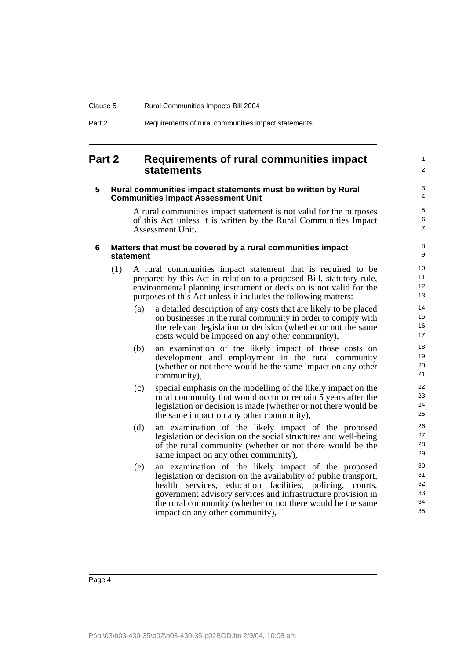| Clause 5 | <b>Rural Communities Impacts Bill 2004</b>          |
|----------|-----------------------------------------------------|
| Part 2   | Requirements of rural communities impact statements |

## **Part 2 Requirements of rural communities impact statements**

#### **5 Rural communities impact statements must be written by Rural Communities Impact Assessment Unit**

A rural communities impact statement is not valid for the purposes of this Act unless it is written by the Rural Communities Impact Assessment Unit.

1  $\mathfrak{p}$ 

#### **6 Matters that must be covered by a rural communities impact statement**

- (1) A rural communities impact statement that is required to be prepared by this Act in relation to a proposed Bill, statutory rule, environmental planning instrument or decision is not valid for the purposes of this Act unless it includes the following matters:
	- (a) a detailed description of any costs that are likely to be placed on businesses in the rural community in order to comply with the relevant legislation or decision (whether or not the same costs would be imposed on any other community),
	- (b) an examination of the likely impact of those costs on development and employment in the rural community (whether or not there would be the same impact on any other community),
	- (c) special emphasis on the modelling of the likely impact on the rural community that would occur or remain 5 years after the legislation or decision is made (whether or not there would be the same impact on any other community),
	- (d) an examination of the likely impact of the proposed legislation or decision on the social structures and well-being of the rural community (whether or not there would be the same impact on any other community),
	- (e) an examination of the likely impact of the proposed legislation or decision on the availability of public transport, health services, education facilities, policing, courts, government advisory services and infrastructure provision in the rural community (whether or not there would be the same impact on any other community),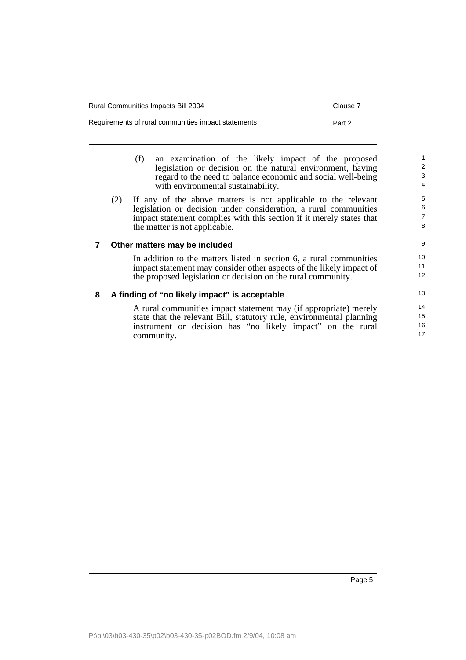| <b>Rural Communities Impacts Bill 2004</b>          | Clause 7 |
|-----------------------------------------------------|----------|
| Requirements of rural communities impact statements | Part 2   |

- (f) an examination of the likely impact of the proposed legislation or decision on the natural environment, having regard to the need to balance economic and social well-being with environmental sustainability.
- (2) If any of the above matters is not applicable to the relevant legislation or decision under consideration, a rural communities impact statement complies with this section if it merely states that the matter is not applicable.

#### **7 Other matters may be included**

In addition to the matters listed in section 6, a rural communities impact statement may consider other aspects of the likely impact of the proposed legislation or decision on the rural community.

#### **8 A finding of "no likely impact" is acceptable**

A rural communities impact statement may (if appropriate) merely state that the relevant Bill, statutory rule, environmental planning instrument or decision has "no likely impact" on the rural community.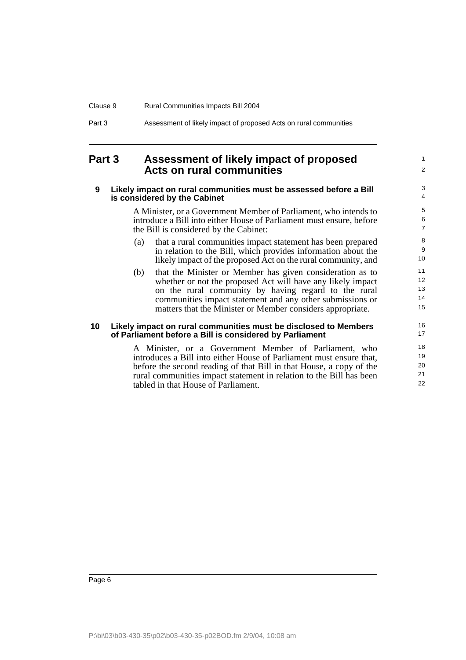| Clause 9 | <b>Rural Communities Impacts Bill 2004</b>                        |
|----------|-------------------------------------------------------------------|
| Part 3   | Assessment of likely impact of proposed Acts on rural communities |

## **Part 3 Assessment of likely impact of proposed Acts on rural communities**

#### **9 Likely impact on rural communities must be assessed before a Bill is considered by the Cabinet**

A Minister, or a Government Member of Parliament, who intends to introduce a Bill into either House of Parliament must ensure, before the Bill is considered by the Cabinet:

- (a) that a rural communities impact statement has been prepared in relation to the Bill, which provides information about the likely impact of the proposed Act on the rural community, and
- (b) that the Minister or Member has given consideration as to whether or not the proposed Act will have any likely impact on the rural community by having regard to the rural communities impact statement and any other submissions or matters that the Minister or Member considers appropriate.

#### **10 Likely impact on rural communities must be disclosed to Members of Parliament before a Bill is considered by Parliament**

A Minister, or a Government Member of Parliament, who introduces a Bill into either House of Parliament must ensure that, before the second reading of that Bill in that House, a copy of the rural communities impact statement in relation to the Bill has been tabled in that House of Parliament.

16

1  $\mathfrak{p}$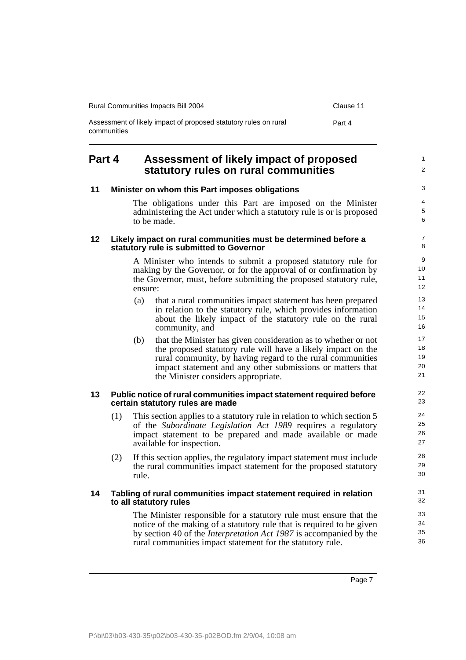| Rural Communities Impacts Bill 2004                                             | Clause 11 |
|---------------------------------------------------------------------------------|-----------|
| Assessment of likely impact of proposed statutory rules on rural<br>communities | Part 4    |

## **Part 4 Assessment of likely impact of proposed statutory rules on rural communities**

| 11              |                                                                                                         |         | Minister on whom this Part imposes obligations                                                                                                                                                                                                                                                    | 3                                     |
|-----------------|---------------------------------------------------------------------------------------------------------|---------|---------------------------------------------------------------------------------------------------------------------------------------------------------------------------------------------------------------------------------------------------------------------------------------------------|---------------------------------------|
|                 |                                                                                                         |         | The obligations under this Part are imposed on the Minister<br>administering the Act under which a statutory rule is or is proposed<br>to be made.                                                                                                                                                | $\overline{4}$<br>$\overline{5}$<br>6 |
| 12 <sup>°</sup> |                                                                                                         |         | Likely impact on rural communities must be determined before a<br>statutory rule is submitted to Governor                                                                                                                                                                                         | $\overline{7}$<br>8                   |
|                 |                                                                                                         | ensure: | A Minister who intends to submit a proposed statutory rule for<br>making by the Governor, or for the approval of or confirmation by<br>the Governor, must, before submitting the proposed statutory rule,                                                                                         | $\boldsymbol{9}$<br>10<br>11<br>12    |
|                 |                                                                                                         | (a)     | that a rural communities impact statement has been prepared<br>in relation to the statutory rule, which provides information<br>about the likely impact of the statutory rule on the rural<br>community, and                                                                                      | 13<br>14<br>15<br>16                  |
|                 |                                                                                                         | (b)     | that the Minister has given consideration as to whether or not<br>the proposed statutory rule will have a likely impact on the<br>rural community, by having regard to the rural communities<br>impact statement and any other submissions or matters that<br>the Minister considers appropriate. | 17<br>18<br>19<br>20<br>21            |
| 13              | Public notice of rural communities impact statement required before<br>certain statutory rules are made |         |                                                                                                                                                                                                                                                                                                   | 22<br>23                              |
|                 | (1)                                                                                                     |         | This section applies to a statutory rule in relation to which section 5<br>of the Subordinate Legislation Act 1989 requires a regulatory<br>impact statement to be prepared and made available or made<br>available for inspection.                                                               | 24<br>25<br>26<br>27                  |
|                 | (2)                                                                                                     | rule.   | If this section applies, the regulatory impact statement must include<br>the rural communities impact statement for the proposed statutory                                                                                                                                                        | 28<br>29<br>30                        |
| 14              |                                                                                                         |         | Tabling of rural communities impact statement required in relation<br>to all statutory rules                                                                                                                                                                                                      | 31<br>32                              |
|                 |                                                                                                         |         | The Minister responsible for a statutory rule must ensure that the<br>notice of the making of a statutory rule that is required to be given<br>by section 40 of the <i>Interpretation Act 1987</i> is accompanied by the                                                                          | 33<br>34<br>35                        |

rural communities impact statement for the statutory rule.

1 2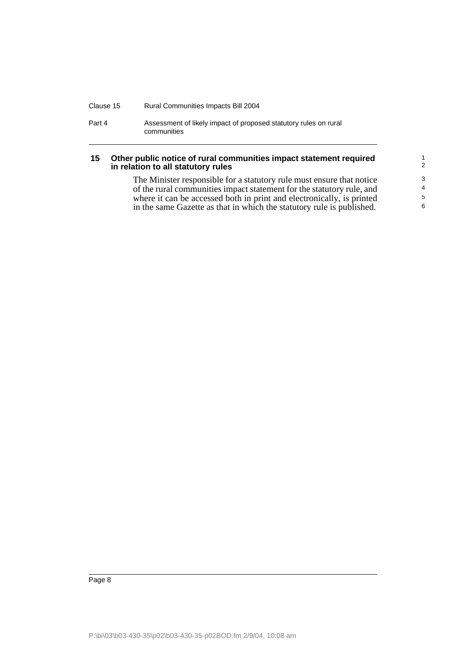| Clause 15 | <b>Rural Communities Impacts Bill 2004</b>                                      |
|-----------|---------------------------------------------------------------------------------|
| Part 4    | Assessment of likely impact of proposed statutory rules on rural<br>communities |

#### **15 Other public notice of rural communities impact statement required in relation to all statutory rules**

The Minister responsible for a statutory rule must ensure that notice of the rural communities impact statement for the statutory rule, and where it can be accessed both in print and electronically, is printed in the same Gazette as that in which the statutory rule is published.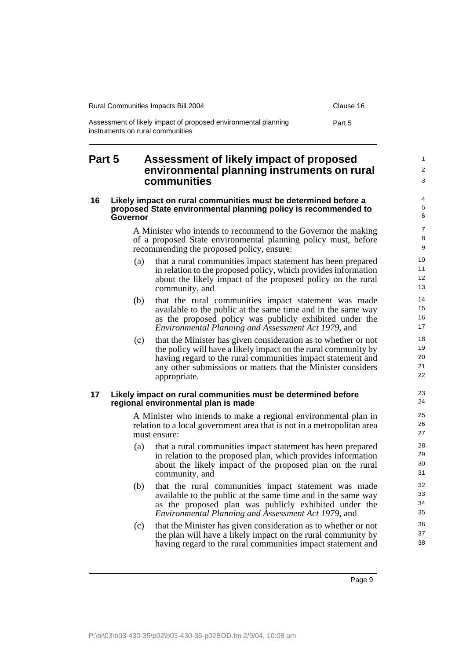| Rural Communities Impacts Bill 2004                                                                | Clause 16 |
|----------------------------------------------------------------------------------------------------|-----------|
| Assessment of likely impact of proposed environmental planning<br>instruments on rural communities | Part 5    |

## **Part 5 Assessment of likely impact of proposed environmental planning instruments on rural communities**

#### **16 Likely impact on rural communities must be determined before a proposed State environmental planning policy is recommended to Governor**

A Minister who intends to recommend to the Governor the making of a proposed State environmental planning policy must, before recommending the proposed policy, ensure:

- (a) that a rural communities impact statement has been prepared in relation to the proposed policy, which provides information about the likely impact of the proposed policy on the rural community, and
- (b) that the rural communities impact statement was made available to the public at the same time and in the same way as the proposed policy was publicly exhibited under the *Environmental Planning and Assessment Act 1979*, and
- (c) that the Minister has given consideration as to whether or not the policy will have a likely impact on the rural community by having regard to the rural communities impact statement and any other submissions or matters that the Minister considers appropriate.

#### **17 Likely impact on rural communities must be determined before regional environmental plan is made**

A Minister who intends to make a regional environmental plan in relation to a local government area that is not in a metropolitan area must ensure:

- (a) that a rural communities impact statement has been prepared in relation to the proposed plan, which provides information about the likely impact of the proposed plan on the rural community, and
- (b) that the rural communities impact statement was made available to the public at the same time and in the same way as the proposed plan was publicly exhibited under the *Environmental Planning and Assessment Act 1979*, and
- (c) that the Minister has given consideration as to whether or not the plan will have a likely impact on the rural community by having regard to the rural communities impact statement and

1  $\mathfrak{p}$ 3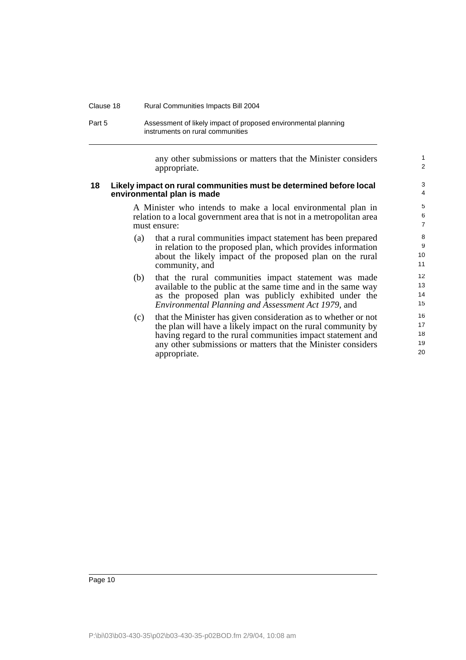| Clause 18 | <b>Rural Communities Impacts Bill 2004</b>                                                         |
|-----------|----------------------------------------------------------------------------------------------------|
| Part 5    | Assessment of likely impact of proposed environmental planning<br>instruments on rural communities |

any other submissions or matters that the Minister considers appropriate.

1 2

#### **18 Likely impact on rural communities must be determined before local environmental plan is made**

A Minister who intends to make a local environmental plan in relation to a local government area that is not in a metropolitan area must ensure:

- (a) that a rural communities impact statement has been prepared in relation to the proposed plan, which provides information about the likely impact of the proposed plan on the rural community, and
- (b) that the rural communities impact statement was made available to the public at the same time and in the same way as the proposed plan was publicly exhibited under the *Environmental Planning and Assessment Act 1979*, and
- (c) that the Minister has given consideration as to whether or not the plan will have a likely impact on the rural community by having regard to the rural communities impact statement and any other submissions or matters that the Minister considers appropriate.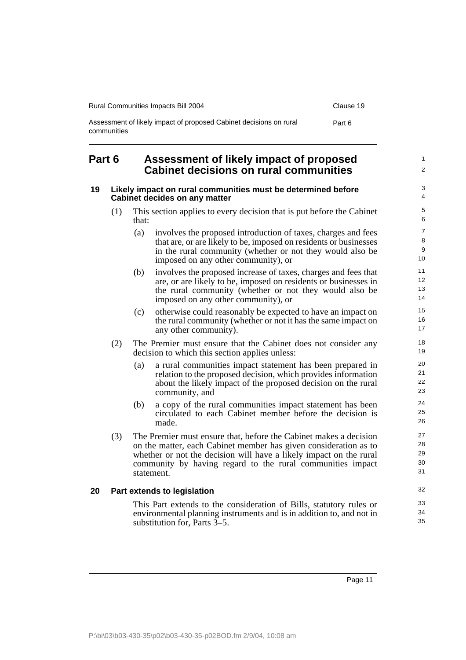| <b>Rural Communities Impacts Bill 2004</b>                                        | Clause 19 |
|-----------------------------------------------------------------------------------|-----------|
| Assessment of likely impact of proposed Cabinet decisions on rural<br>communities | Part 6    |

## **Part 6 Assessment of likely impact of proposed Cabinet decisions on rural communities**

#### **19 Likely impact on rural communities must be determined before Cabinet decides on any matter**

- (1) This section applies to every decision that is put before the Cabinet that:
	- (a) involves the proposed introduction of taxes, charges and fees that are, or are likely to be, imposed on residents or businesses in the rural community (whether or not they would also be imposed on any other community), or
	- (b) involves the proposed increase of taxes, charges and fees that are, or are likely to be, imposed on residents or businesses in the rural community (whether or not they would also be imposed on any other community), or
	- (c) otherwise could reasonably be expected to have an impact on the rural community (whether or not it has the same impact on any other community).
- (2) The Premier must ensure that the Cabinet does not consider any decision to which this section applies unless:
	- (a) a rural communities impact statement has been prepared in relation to the proposed decision, which provides information about the likely impact of the proposed decision on the rural community, and
	- (b) a copy of the rural communities impact statement has been circulated to each Cabinet member before the decision is made.
- (3) The Premier must ensure that, before the Cabinet makes a decision on the matter, each Cabinet member has given consideration as to whether or not the decision will have a likely impact on the rural community by having regard to the rural communities impact statement.

### **20 Part extends to legislation**

This Part extends to the consideration of Bills, statutory rules or environmental planning instruments and is in addition to, and not in substitution for, Parts 3–5.

1  $\mathfrak{p}$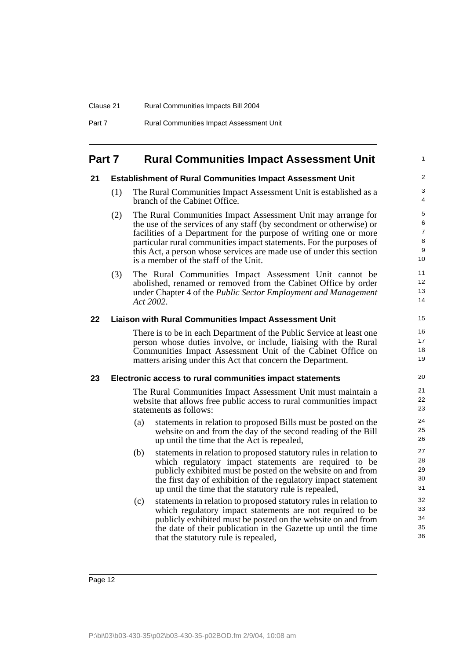| Clause 21 | <b>Rural Communities Impacts Bill 2004</b>      |
|-----------|-------------------------------------------------|
| Part 7    | <b>Rural Communities Impact Assessment Unit</b> |

## **Part 7 Rural Communities Impact Assessment Unit**

#### **21 Establishment of Rural Communities Impact Assessment Unit**

(1) The Rural Communities Impact Assessment Unit is established as a branch of the Cabinet Office.

1

- (2) The Rural Communities Impact Assessment Unit may arrange for the use of the services of any staff (by secondment or otherwise) or facilities of a Department for the purpose of writing one or more particular rural communities impact statements. For the purposes of this Act, a person whose services are made use of under this section is a member of the staff of the Unit.
- (3) The Rural Communities Impact Assessment Unit cannot be abolished, renamed or removed from the Cabinet Office by order under Chapter 4 of the *Public Sector Employment and Management Act 2002*.

#### **22 Liaison with Rural Communities Impact Assessment Unit**

There is to be in each Department of the Public Service at least one person whose duties involve, or include, liaising with the Rural Communities Impact Assessment Unit of the Cabinet Office on matters arising under this Act that concern the Department.

#### **23 Electronic access to rural communities impact statements**

The Rural Communities Impact Assessment Unit must maintain a website that allows free public access to rural communities impact statements as follows:

- (a) statements in relation to proposed Bills must be posted on the website on and from the day of the second reading of the Bill up until the time that the Act is repealed,
- (b) statements in relation to proposed statutory rules in relation to which regulatory impact statements are required to be publicly exhibited must be posted on the website on and from the first day of exhibition of the regulatory impact statement up until the time that the statutory rule is repealed,
- (c) statements in relation to proposed statutory rules in relation to which regulatory impact statements are not required to be publicly exhibited must be posted on the website on and from the date of their publication in the Gazette up until the time that the statutory rule is repealed,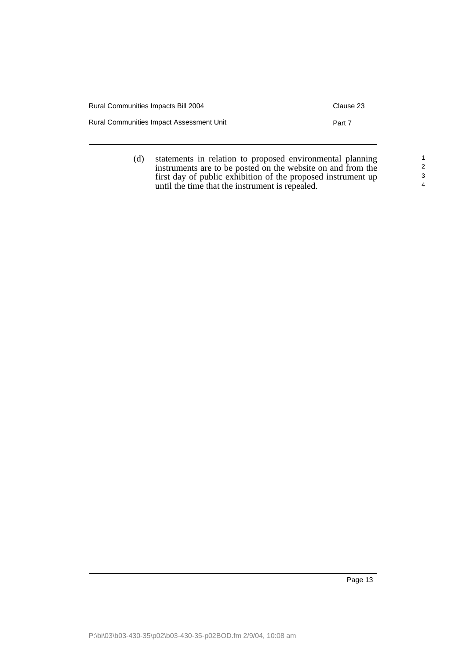| Rural Communities Impacts Bill 2004             | Clause 23 |
|-------------------------------------------------|-----------|
| <b>Rural Communities Impact Assessment Unit</b> | Part 7    |
|                                                 |           |

(d) statements in relation to proposed environmental planning instruments are to be posted on the website on and from the first day of public exhibition of the proposed instrument up until the time that the instrument is repealed. 1 2 3 4